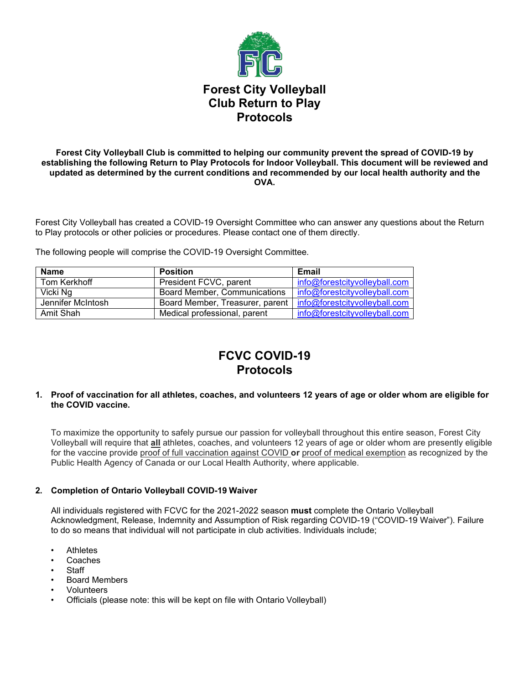

#### **Forest City Volleyball Club is committed to helping our community prevent the spread of COVID-19 by establishing the following Return to Play Protocols for Indoor Volleyball. This document will be reviewed and updated as determined by the current conditions and recommended by our local health authority and the OVA.**

Forest City Volleyball has created a COVID-19 Oversight Committee who can answer any questions about the Return to Play protocols or other policies or procedures. Please contact one of them directly.

The following people will comprise the COVID-19 Oversight Committee.

| <b>Name</b>       | <b>Position</b>                 | Email                                |
|-------------------|---------------------------------|--------------------------------------|
| Tom Kerkhoff      | President FCVC, parent          | info@forestcityvolleyball.com        |
| Vicki Ng          | Board Member, Communications    | info@forestcityvolleyball.com        |
| Jennifer McIntosh | Board Member, Treasurer, parent | $\mid$ info@forestcityvolleyball.com |
| Amit Shah         | Medical professional, parent    | info@forestcityvolleyball.com        |

# **FCVC COVID-19 Protocols**

#### **1. Proof of vaccination for all athletes, coaches, and volunteers 12 years of age or older whom are eligible for the COVID vaccine.**

To maximize the opportunity to safely pursue our passion for volleyball throughout this entire season, Forest City Volleyball will require that **all** athletes, coaches, and volunteers 12 years of age or older whom are presently eligible for the vaccine provide proof of full vaccination against COVID **or** proof of medical exemption as recognized by the Public Health Agency of Canada or our Local Health Authority, where applicable.

## **2. Completion of Ontario Volleyball COVID-19 Waiver**

All individuals registered with FCVC for the 2021-2022 season **must** complete the Ontario Volleyball Acknowledgment, Release, Indemnity and Assumption of Risk regarding COVID-19 ("COVID-19 Waiver"). Failure to do so means that individual will not participate in club activities. Individuals include;

- **Athletes**
- **Coaches**
- **Staff**
- Board Members
- **Volunteers**
- Officials (please note: this will be kept on file with Ontario Volleyball)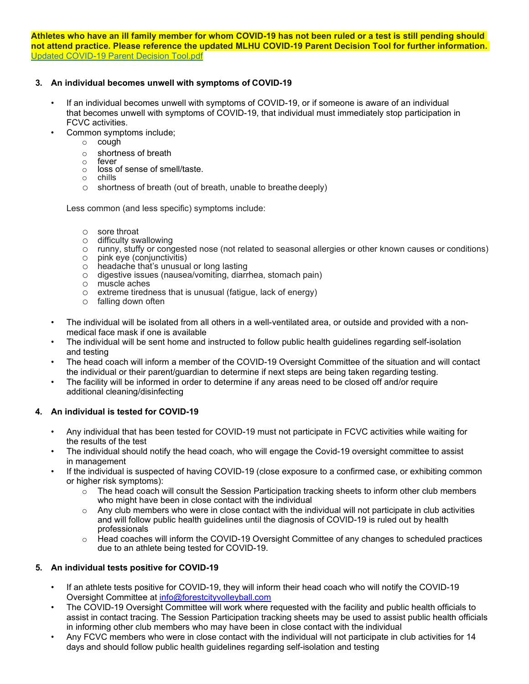**Athletes who have an ill family member for whom COVID-19 has not been ruled or a test is still pending should not attend practice. Please reference the updated MLHU COVID-19 Parent Decision Tool for further information.**  [Updated COVID-19 Parent Decision Tool.pdf](http://track.spe.schoolmessenger.com/f/a/R8WK8pkXKJZh_aTzddvmwA%7E%7E/AAAAAQA%7E/RgRhspBlP0R0aHR0cHM6Ly9tc2cuc2Nob29sbWVzc2VuZ2VyLmNhL20vP3M9TXc4dUtxNmJFbWMmbWFsPWRiODEwZjFlN2Q0MmQ0ODgxMGQ1MzY3OTM4MGYxYzZmM2Y0N2VjZjE0OGJhN2MwNjE2NGUwMmExMTdjYmQ0NzlXB3NjaG9vbG1CCl_P5VzRX97Lnu1SEmplbm55bWFjOUB5YWhvby5jYVgEAAAAAg%7E%7E)

## **3. An individual becomes unwell with symptoms of COVID-19**

- If an individual becomes unwell with symptoms of COVID-19, or if someone is aware of an individual that becomes unwell with symptoms of COVID-19, that individual must immediately stop participation in FCVC activities.
- Common symptoms include;
	- $\circ$  cough
	- o shortness of breath
	- o fever
	- o loss of sense of smell/taste.
	- o chills
	- o shortness of breath (out of breath, unable to breathe deeply)

Less common (and less specific) symptoms include:

- o sore throat<br>
o difficulty sw
- $\circ$  difficulty swallowing<br> $\circ$  runny, stuffy or cond
- runny, stuffy or congested nose (not related to seasonal allergies or other known causes or conditions)<br>○ pink eye (conjunctivitis)
- o pink eye (conjunctivitis)<br>○ headache that's unusual
- headache that's unusual or long lasting
- o digestive issues (nausea/vomiting, diarrhea, stomach pain)
- 
- o muscle aches<br>o extreme tiredn extreme tiredness that is unusual (fatigue, lack of energy)
- o falling down often
- The individual will be isolated from all others in a well-ventilated area, or outside and provided with a nonmedical face mask if one is available
- The individual will be sent home and instructed to follow public health guidelines regarding self-isolation and testing
- The head coach will inform a member of the COVID-19 Oversight Committee of the situation and will contact the individual or their parent/guardian to determine if next steps are being taken regarding testing.
- The facility will be informed in order to determine if any areas need to be closed off and/or require additional cleaning/disinfecting

## **4. An individual is tested for COVID-19**

- Any individual that has been tested for COVID-19 must not participate in FCVC activities while waiting for the results of the test
- The individual should notify the head coach, who will engage the Covid-19 oversight committee to assist in management
- If the individual is suspected of having COVID-19 (close exposure to a confirmed case, or exhibiting common or higher risk symptoms):
	- $\circ$  The head coach will consult the Session Participation tracking sheets to inform other club members who might have been in close contact with the individual
	- $\circ$  Any club members who were in close contact with the individual will not participate in club activities and will follow public health guidelines until the diagnosis of COVID-19 is ruled out by health professionals
	- $\circ$  Head coaches will inform the COVID-19 Oversight Committee of any changes to scheduled practices due to an athlete being tested for COVID-19.

## **5. An individual tests positive for COVID-19**

- If an athlete tests positive for COVID-19, they will inform their head coach who will notify the COVID-19 Oversight Committee at [info@forestcityvolleyball.com](mailto:info@forestcityvolleyball.com)
- The COVID-19 Oversight Committee will work where requested with the facility and public health officials to assist in contact tracing. The Session Participation tracking sheets may be used to assist public health officials in informing other club members who may have been in close contact with the individual
- Any FCVC members who were in close contact with the individual will not participate in club activities for 14 days and should follow public health guidelines regarding self-isolation and testing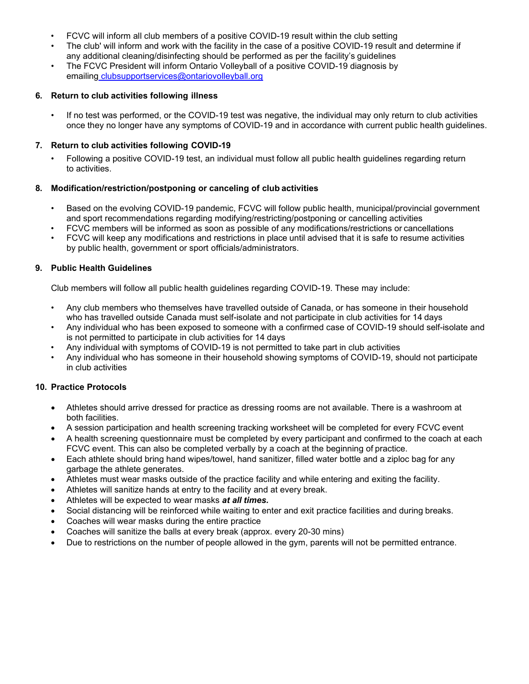- FCVC will inform all club members of a positive COVID-19 result within the club setting
- The club' will inform and work with the facility in the case of a positive COVID-19 result and determine if any additional cleaning/disinfecting should be performed as per the facility's guidelines
- The FCVC President will inform Ontario Volleyball of a positive COVID-19 diagnosis by emailing [clubsupportservices@ontariovolleyball.org](mailto:clubsupportservices@ontariovolleyball.org)

#### **6. Return to club activities following illness**

• If no test was performed, or the COVID-19 test was negative, the individual may only return to club activities once they no longer have any symptoms of COVID-19 and in accordance with current public health guidelines.

#### **7. Return to club activities following COVID-19**

• Following a positive COVID-19 test, an individual must follow all public health guidelines regarding return to activities.

## **8. Modification/restriction/postponing or canceling of club activities**

- Based on the evolving COVID-19 pandemic, FCVC will follow public health, municipal/provincial government and sport recommendations regarding modifying/restricting/postponing or cancelling activities
- FCVC members will be informed as soon as possible of any modifications/restrictions or cancellations
- FCVC will keep any modifications and restrictions in place until advised that it is safe to resume activities by public health, government or sport officials/administrators.

#### **9. Public Health Guidelines**

Club members will follow all public health guidelines regarding COVID-19. These may include:

- Any club members who themselves have travelled outside of Canada, or has someone in their household who has travelled outside Canada must self-isolate and not participate in club activities for 14 days
- Any individual who has been exposed to someone with a confirmed case of COVID-19 should self-isolate and is not permitted to participate in club activities for 14 days
- Any individual with symptoms of COVID-19 is not permitted to take part in club activities
- Any individual who has someone in their household showing symptoms of COVID-19, should not participate in club activities

## **10. Practice Protocols**

- Athletes should arrive dressed for practice as dressing rooms are not available. There is a washroom at both facilities.
- A session participation and health screening tracking worksheet will be completed for every FCVC event
- A health screening questionnaire must be completed by every participant and confirmed to the coach at each FCVC event. This can also be completed verbally by a coach at the beginning of practice.
- Each athlete should bring hand wipes/towel, hand sanitizer, filled water bottle and a ziploc bag for any garbage the athlete generates.
- Athletes must wear masks outside of the practice facility and while entering and exiting the facility.
- Athletes will sanitize hands at entry to the facility and at every break.
- Athletes will be expected to wear masks *at all times.*
- Social distancing will be reinforced while waiting to enter and exit practice facilities and during breaks.
- Coaches will wear masks during the entire practice
- Coaches will sanitize the balls at every break (approx. every 20-30 mins)
- Due to restrictions on the number of people allowed in the gym, parents will not be permitted entrance.